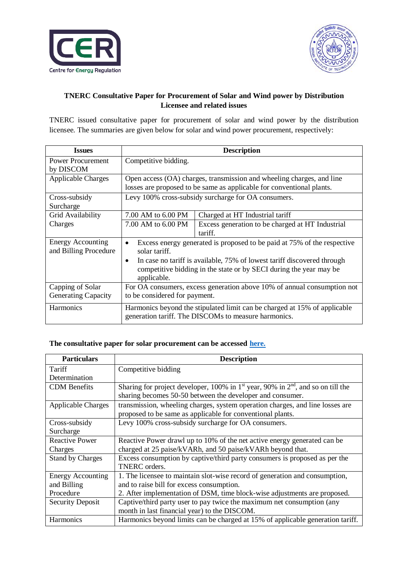



## **TNERC Consultative Paper for Procurement of Solar and Wind power by Distribution Licensee and related issues**

TNERC issued consultative paper for procurement of solar and wind power by the distribution licensee. The summaries are given below for solar and wind power procurement, respectively:

| <b>Issues</b>                                  | <b>Description</b>                                                                                                                             |                                                                                                                                               |
|------------------------------------------------|------------------------------------------------------------------------------------------------------------------------------------------------|-----------------------------------------------------------------------------------------------------------------------------------------------|
| <b>Power Procurement</b><br>by DISCOM          | Competitive bidding.                                                                                                                           |                                                                                                                                               |
| <b>Applicable Charges</b>                      | Open access (OA) charges, transmission and wheeling charges, and line<br>losses are proposed to be same as applicable for conventional plants. |                                                                                                                                               |
| Cross-subsidy<br>Surcharge                     |                                                                                                                                                | Levy 100% cross-subsidy surcharge for OA consumers.                                                                                           |
| Grid Availability                              | 7.00 AM to 6.00 PM                                                                                                                             | Charged at HT Industrial tariff                                                                                                               |
| Charges                                        | 7.00 AM to 6.00 PM                                                                                                                             | Excess generation to be charged at HT Industrial<br>tariff.                                                                                   |
| Energy Accounting<br>and Billing Procedure     | Excess energy generated is proposed to be paid at 75% of the respective<br>solar tariff.                                                       |                                                                                                                                               |
|                                                | $\bullet$<br>applicable.                                                                                                                       | In case no tariff is available, 75% of lowest tariff discovered through<br>competitive bidding in the state or by SECI during the year may be |
| Capping of Solar<br><b>Generating Capacity</b> | For OA consumers, excess generation above 10% of annual consumption not<br>to be considered for payment.                                       |                                                                                                                                               |
| <b>Harmonics</b>                               | Harmonics beyond the stipulated limit can be charged at 15% of applicable<br>generation tariff. The DISCOMs to measure harmonics.              |                                                                                                                                               |

## **The consultative paper for solar procurement can be accessed [here.](http://www.tnerc.gov.in/Concept%20Paper/2020/Solardraft-12-02-2020.pdf)**

| <b>Particulars</b>        | <b>Description</b>                                                                                                                                |
|---------------------------|---------------------------------------------------------------------------------------------------------------------------------------------------|
| Tariff                    | Competitive bidding                                                                                                                               |
| Determination             |                                                                                                                                                   |
| <b>CDM</b> Benefits       | Sharing for project developer, 100% in $1st$ year, 90% in $2nd$ , and so on till the<br>sharing becomes 50-50 between the developer and consumer. |
| <b>Applicable Charges</b> | transmission, wheeling charges, system operation charges, and line losses are                                                                     |
|                           | proposed to be same as applicable for conventional plants.                                                                                        |
| Cross-subsidy             | Levy 100% cross-subsidy surcharge for OA consumers.                                                                                               |
| Surcharge                 |                                                                                                                                                   |
| <b>Reactive Power</b>     | Reactive Power drawl up to 10% of the net active energy generated can be                                                                          |
| Charges                   | charged at 25 paise/kVARh, and 50 paise/kVARh beyond that.                                                                                        |
| <b>Stand by Charges</b>   | Excess consumption by captive/third party consumers is proposed as per the<br>TNERC orders.                                                       |
| Energy Accounting         | 1. The licensee to maintain slot-wise record of generation and consumption,                                                                       |
| and Billing               | and to raise bill for excess consumption.                                                                                                         |
| Procedure                 | 2. After implementation of DSM, time block-wise adjustments are proposed.                                                                         |
| <b>Security Deposit</b>   | Captive/third party user to pay twice the maximum net consumption (any                                                                            |
|                           | month in last financial year) to the DISCOM.                                                                                                      |
| <b>Harmonics</b>          | Harmonics beyond limits can be charged at 15% of applicable generation tariff.                                                                    |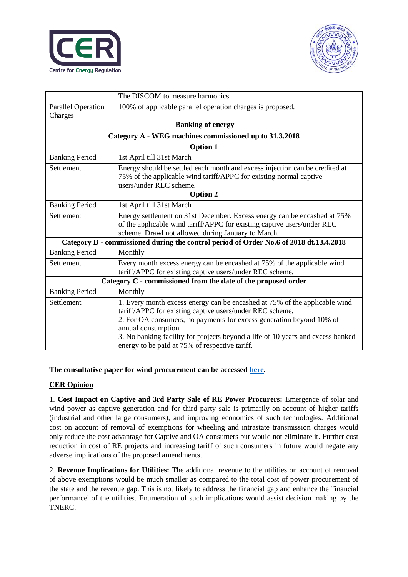



|                                                                                        | The DISCOM to measure harmonics.                                                                                                                                             |  |  |
|----------------------------------------------------------------------------------------|------------------------------------------------------------------------------------------------------------------------------------------------------------------------------|--|--|
| <b>Parallel Operation</b>                                                              | 100% of applicable parallel operation charges is proposed.                                                                                                                   |  |  |
| Charges                                                                                |                                                                                                                                                                              |  |  |
| <b>Banking of energy</b>                                                               |                                                                                                                                                                              |  |  |
| Category A - WEG machines commissioned up to 31.3.2018                                 |                                                                                                                                                                              |  |  |
| <b>Option 1</b>                                                                        |                                                                                                                                                                              |  |  |
| <b>Banking Period</b>                                                                  | 1st April till 31st March                                                                                                                                                    |  |  |
| Settlement                                                                             | Energy should be settled each month and excess injection can be credited at<br>75% of the applicable wind tariff/APPC for existing normal captive<br>users/under REC scheme. |  |  |
| <b>Option 2</b>                                                                        |                                                                                                                                                                              |  |  |
| <b>Banking Period</b>                                                                  | 1st April till 31st March                                                                                                                                                    |  |  |
| Settlement                                                                             | Energy settlement on 31st December. Excess energy can be encashed at 75%                                                                                                     |  |  |
|                                                                                        | of the applicable wind tariff/APPC for existing captive users/under REC                                                                                                      |  |  |
|                                                                                        | scheme. Drawl not allowed during January to March.                                                                                                                           |  |  |
| Category B - commissioned during the control period of Order No.6 of 2018 dt.13.4.2018 |                                                                                                                                                                              |  |  |
| <b>Banking Period</b>                                                                  | Monthly                                                                                                                                                                      |  |  |
| Settlement                                                                             | Every month excess energy can be encashed at 75% of the applicable wind<br>tariff/APPC for existing captive users/under REC scheme.                                          |  |  |
| Category C - commissioned from the date of the proposed order                          |                                                                                                                                                                              |  |  |
| <b>Banking Period</b>                                                                  | Monthly                                                                                                                                                                      |  |  |
| Settlement                                                                             | 1. Every month excess energy can be encashed at 75% of the applicable wind<br>tariff/APPC for existing captive users/under REC scheme.                                       |  |  |
|                                                                                        | 2. For OA consumers, no payments for excess generation beyond 10% of                                                                                                         |  |  |
|                                                                                        | annual consumption.                                                                                                                                                          |  |  |
|                                                                                        | 3. No banking facility for projects beyond a life of 10 years and excess banked<br>energy to be paid at 75% of respective tariff.                                            |  |  |

**The consultative paper for wind procurement can be accessed [here.](http://www.tnerc.gov.in/Concept%20Paper/2020/ConceptWind.pdf)** 

## **CER Opinion**

1. **Cost Impact on Captive and 3rd Party Sale of RE Power Procurers:** Emergence of solar and wind power as captive generation and for third party sale is primarily on account of higher tariffs (industrial and other large consumers), and improving economics of such technologies. Additional cost on account of removal of exemptions for wheeling and intrastate transmission charges would only reduce the cost advantage for Captive and OA consumers but would not eliminate it. Further cost reduction in cost of RE projects and increasing tariff of such consumers in future would negate any adverse implications of the proposed amendments.

2. **Revenue Implications for Utilities:** The additional revenue to the utilities on account of removal of above exemptions would be much smaller as compared to the total cost of power procurement of the state and the revenue gap. This is not likely to address the financial gap and enhance the 'financial performance' of the utilities. Enumeration of such implications would assist decision making by the TNERC.